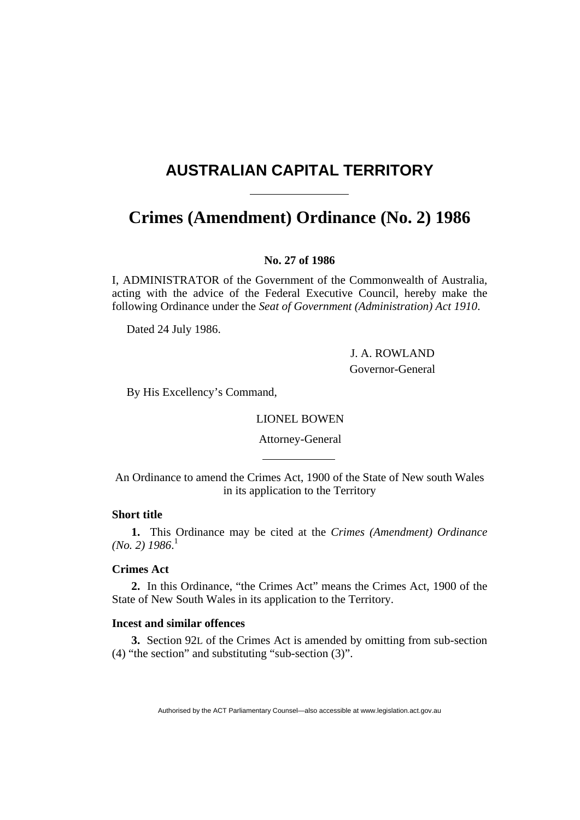# <span id="page-0-0"></span>**AUSTRALIAN CAPITAL TERRITORY**

## **Crimes (Amendment) Ordinance (No. 2) [1986](#page-0-0)**

## **No. 27 of 1986**

I, ADMINISTRATOR of the Government of the Commonwealth of Australia, acting with the advice of the Federal Executive Council, hereby make the following Ordinance under the *Seat of Government (Administration) Act 1910*.

Dated 24 July 1986.

 J. A. ROWLAND Governor-General

By His Excellency's Command,

LIONEL BOWEN

Attorney-General

An Ordinance to amend the Crimes Act, 1900 of the State of New south Wales in its application to the Territory

## **Short title**

**1.** This Ordinance may be cited at the *Crimes (Amendment) Ordinance (No. 2) 1986*. 1

## **Crimes Act**

**2.** In this Ordinance, "the Crimes Act" means the Crimes Act, 1900 of the State of New South Wales in its application to the Territory.

#### **Incest and similar offences**

**3.** Section 92L of the Crimes Act is amended by omitting from sub-section (4) "the section" and substituting "sub-section (3)".

Authorised by the ACT Parliamentary Counsel—also accessible at www.legislation.act.gov.au